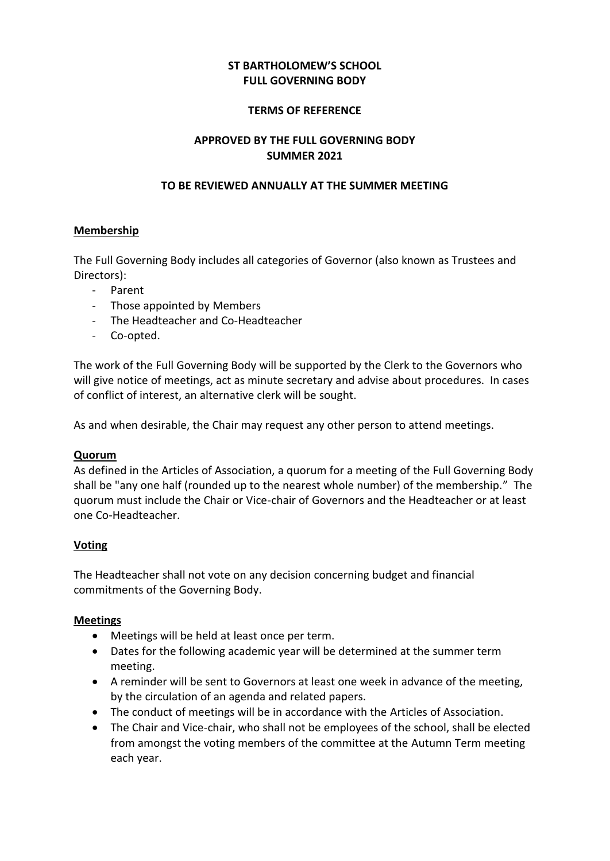# **ST BARTHOLOMEW'S SCHOOL FULL GOVERNING BODY**

#### **TERMS OF REFERENCE**

## **APPROVED BY THE FULL GOVERNING BODY SUMMER 2021**

### **TO BE REVIEWED ANNUALLY AT THE SUMMER MEETING**

### **Membership**

The Full Governing Body includes all categories of Governor (also known as Trustees and Directors):

- Parent
- Those appointed by Members
- The Headteacher and Co-Headteacher
- Co-opted.

The work of the Full Governing Body will be supported by the Clerk to the Governors who will give notice of meetings, act as minute secretary and advise about procedures. In cases of conflict of interest, an alternative clerk will be sought.

As and when desirable, the Chair may request any other person to attend meetings.

#### **Quorum**

As defined in the Articles of Association, a quorum for a meeting of the Full Governing Body shall be "any one half (rounded up to the nearest whole number) of the membership." The quorum must include the Chair or Vice-chair of Governors and the Headteacher or at least one Co-Headteacher.

## **Voting**

The Headteacher shall not vote on any decision concerning budget and financial commitments of the Governing Body.

#### **Meetings**

- Meetings will be held at least once per term.
- Dates for the following academic year will be determined at the summer term meeting.
- A reminder will be sent to Governors at least one week in advance of the meeting, by the circulation of an agenda and related papers.
- The conduct of meetings will be in accordance with the Articles of Association.
- The Chair and Vice-chair, who shall not be employees of the school, shall be elected from amongst the voting members of the committee at the Autumn Term meeting each year.